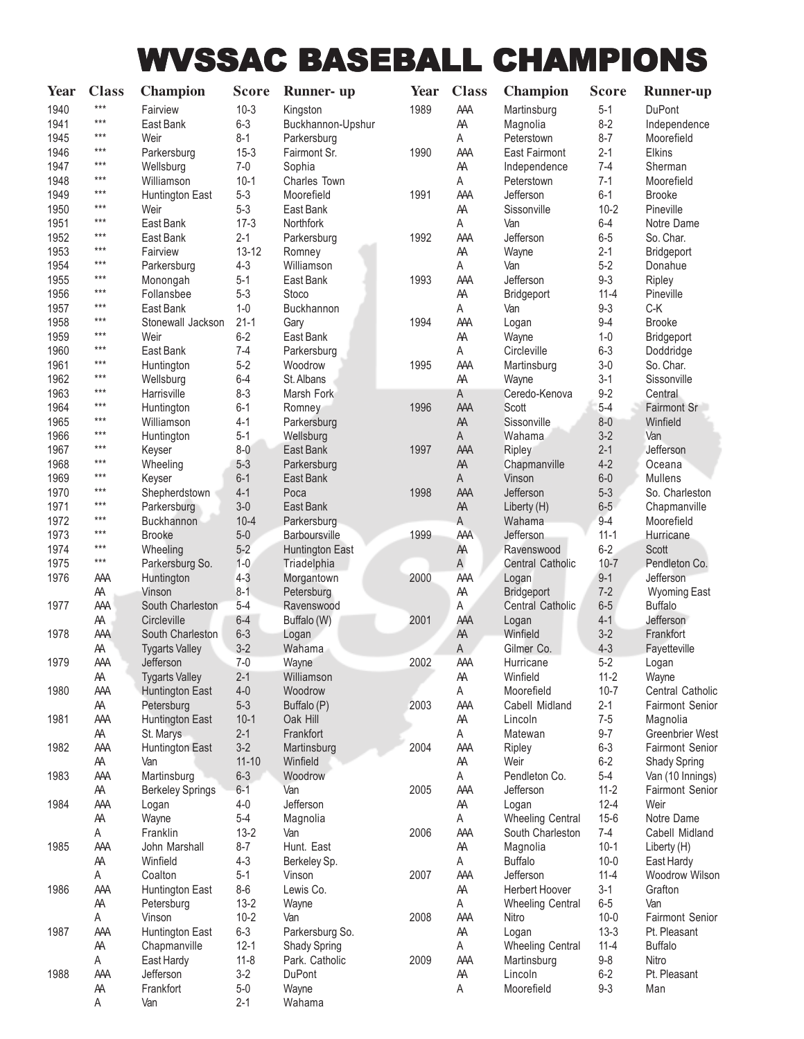## WVSSAC BASEBALL CHAMPIONS

| <b>Year</b> | <b>Class</b> | <b>Champion</b>          | <b>Score</b> | <b>Runner-up</b>       | <b>Year</b> | <b>Class</b> | <b>Champion</b>         | <b>Score</b> | <b>Runner-up</b>       |
|-------------|--------------|--------------------------|--------------|------------------------|-------------|--------------|-------------------------|--------------|------------------------|
| 1940        | $***$        | Fairview                 | $10-3$       | Kingston               | 1989        | AAA          | Martinsburg             | $5 - 1$      | <b>DuPont</b>          |
| 1941        | $***$        | East Bank                | $6 - 3$      | Buckhannon-Upshur      |             | AA           | Magnolia                | $8 - 2$      | Independence           |
| 1945        | $***$        | Weir                     | $8-1$        | Parkersburg            |             | Α            | Peterstown              | $8 - 7$      | Moorefield             |
| 1946        | $***$        | Parkersburg              | $15-3$       | Fairmont Sr.           | 1990        | AAA          | East Fairmont           | $2 - 1$      | Elkins                 |
| 1947        | $***$        | Wellsburg                | $7 - 0$      | Sophia                 |             | AA           | Independence            | $7 - 4$      | Sherman                |
| 1948        | $***$        | Williamson               | $10-1$       | Charles Town           |             | A            | Peterstown              | $7 - 1$      | Moorefield             |
| 1949        | $***$        | Huntington East          | $5 - 3$      | Moorefield             | 1991        | AAA          | Jefferson               | $6-1$        | <b>Brooke</b>          |
| 1950        | $***$        | Weir                     | $5 - 3$      | East Bank              |             | AA           | Sissonville             | $10 - 2$     | Pineville              |
| 1951        | $***$        | East Bank                | $17-3$       | Northfork              |             | A            | Van                     | $6 - 4$      | Notre Dame             |
| 1952        | $***$        | East Bank                | $2 - 1$      | Parkersburg            | 1992        | AAA          | Jefferson               | $6-5$        | So. Char.              |
| 1953        | $***$        | Fairview                 | $13 - 12$    | Romney                 |             | AA           | Wayne                   | $2 - 1$      | Bridgeport             |
| 1954        | $***$        | Parkersburg              | $4 - 3$      | Williamson             |             | Α            | Van                     | $5-2$        | Donahue                |
| 1955        | $***$        | Monongah                 | $5-1$        | East Bank              | 1993        | AAA          | Jefferson               | $9 - 3$      | Ripley                 |
| 1956        | $***$        | Follansbee               | $5 - 3$      | Stoco                  |             | AA           | Bridgeport              | $11 - 4$     | Pineville              |
| 1957        | $***$        | East Bank                | $1 - 0$      | Buckhannon             |             | Α            | Van                     | $9 - 3$      | C-K                    |
| 1958        | $***$        | Stonewall Jackson        | $21 - 1$     | Gary                   | 1994        | <b>AAA</b>   | Logan                   | $9 - 4$      | <b>Brooke</b>          |
| 1959        | $***$        | Weir                     | $6 - 2$      | East Bank              |             | AA           | Wayne                   | $1-0$        | Bridgeport             |
| 1960        | $***$        | East Bank                | $7 - 4$      | Parkersburg            |             | Α            | Circleville             | $6 - 3$      | Doddridge              |
| 1961        | $***$        |                          | $5-2$        | Woodrow                | 1995        | AAA          |                         | $3-0$        | So. Char.              |
| 1962        | $***$        | Huntington               | $6-4$        | St. Albans             |             |              | Martinsburg             | $3 - 1$      | Sissonville            |
| 1963        | $***$        | Wellsburg<br>Harrisville | $8 - 3$      | Marsh Fork             |             | AA<br>A      | Wayne<br>Ceredo-Kenova  | $9-2$        | Central                |
| 1964        | $***$        |                          | $6 - 1$      |                        |             | AAA          |                         | $5-4$        |                        |
|             | $***$        | Huntington               |              | Romney                 | 1996        |              | Scott                   |              | Fairmont Sr            |
| 1965        | $***$        | Williamson               | $4 - 1$      | Parkersburg            |             | AA           | Sissonville             | $8-0$        | Winfield               |
| 1966        | $***$        | Huntington               | $5 - 1$      | Wellsburg              |             | A            | Wahama                  | $3-2$        | Van                    |
| 1967        | $***$        | Keyser                   | $8-0$        | East Bank              | 1997        | AAA          | Ripley                  | $2 - 1$      | Jefferson<br>Oceana    |
| 1968        | $***$        | Wheeling                 | $5 - 3$      | Parkersburg            |             | AA           | Chapmanville            | $4 - 2$      |                        |
| 1969        | $***$        | Keyser                   | $6-1$        | East Bank              |             | Α            | Vinson                  | $6-0$        | Mullens                |
| 1970        | $***$        | Shepherdstown            | $4 - 1$      | Poca                   | 1998        | AAA          | Jefferson               | $5-3$        | So. Charleston         |
| 1971        | $***$        | Parkersburg              | $3-0$        | East Bank              |             | AA           | Liberty (H)             | $6-5$        | Chapmanville           |
| 1972        | $***$        | Buckhannon               | $10 - 4$     | Parkersburg            |             | $\mathsf{A}$ | Wahama                  | $9 - 4$      | Moorefield             |
| 1973        | $***$        | <b>Brooke</b>            | $5-0$        | Barboursville          | 1999        | AAA          | Jefferson               | $11 - 1$     | Hurricane              |
| 1974        | $***$        | Wheeling                 | $5 - 2$      | <b>Huntington East</b> |             | AA           | Ravenswood              | $6-2$        | Scott                  |
| 1975        |              | Parkersburg So.          | $1-0$        | Triadelphia            |             | A            | Central Catholic        | $10 - 7$     | Pendleton Co.          |
| 1976        | AAA          | Huntington               | $4 - 3$      | Morgantown             | 2000        | AAA          | Logan                   | $9 - 1$      | Jefferson              |
|             | AA           | Vinson                   | $8 - 1$      | Petersburg             |             | AA           | <b>Bridgeport</b>       | $7 - 2$      | Wyoming East           |
| 1977        | AAA          | South Charleston         | $5-4$        | Ravenswood             |             | Α            | Central Catholic        | $6-5$        | <b>Buffalo</b>         |
|             | AA           | Circleville              | $6 - 4$      | Buffalo (W)            | 2001        | AAA          | Logan                   | $4 - 1$      | Jefferson              |
| 1978        | AAA          | South Charleston         | $6 - 3$      | Logan                  |             | AA           | Winfield                | $3-2$        | Frankfort              |
|             | AA           | <b>Tygarts Valley</b>    | $3-2$        | Wahama                 |             | Α            | Gilmer Co.              | $4 - 3$      | Fayetteville           |
| 1979        | AAA          | Jefferson                | $7 - 0$      | Wayne                  | 2002        | AAA          | Hurricane               | $5-2$        | Logan                  |
|             | ΑA           | <b>Tygarts Valley</b>    | $2 - 1$      | Williamson             |             | ΑA           | Winfield                | $11 - 2$     | Wayne                  |
| 1980        | AAA          | <b>Huntington East</b>   | $4 - 0$      | Woodrow                |             | Α            | Moorefield              | $10 - 7$     | Central Catholic       |
|             | AA           | Petersburg               | $5 - 3$      | Buffalo (P)            | 2003        | AAA          | Cabell Midland          | $2 - 1$      | <b>Fairmont Senior</b> |
| 1981        | AAA          | <b>Huntington East</b>   | $10-1$       | Oak Hill               |             | AA           | Lincoln                 | $7 - 5$      | Magnolia               |
|             | AA           | St. Marys                | $2 - 1$      | Frankfort              |             | Α            | Matewan                 | $9 - 7$      | <b>Greenbrier West</b> |
| 1982        | AAA          | <b>Huntington East</b>   | $3-2$        | Martinsburg            | 2004        | AAA          | Ripley                  | $6 - 3$      | <b>Fairmont Senior</b> |
|             | AA           | Van                      | $11 - 10$    | Winfield               |             | AA           | Weir                    | $6 - 2$      | Shady Spring           |
| 1983        | AAA          | Martinsburg              | $6 - 3$      | Woodrow                |             | A            | Pendleton Co.           | $5 - 4$      | Van (10 Innings)       |
|             | AA           | <b>Berkeley Springs</b>  | $6-1$        | Van                    | 2005        | AAA          | Jefferson               | $11 - 2$     | <b>Fairmont Senior</b> |
| 1984        | AAA          | Logan                    | $4-0$        | Jefferson              |             | AA           | Logan                   | $12 - 4$     | Weir                   |
|             | AA           | Wayne                    | $5-4$        | Magnolia               |             | A            | <b>Wheeling Central</b> | $15-6$       | Notre Dame             |
|             | A            | Franklin                 | $13 - 2$     | Van                    | 2006        | AAA          | South Charleston        | $7-4$        | Cabell Midland         |
| 1985        | AAA          | John Marshall            | $8 - 7$      | Hunt. East             |             | ΑA           | Magnolia                | $10-1$       | Liberty (H)            |
|             | AA           | Winfield                 | $4 - 3$      | Berkeley Sp.           |             | A            | <b>Buffalo</b>          | $10 - 0$     | East Hardy             |
|             | A            | Coalton                  | $5-1$        | Vinson                 | 2007        | AAA          | Jefferson               | $11 - 4$     | Woodrow Wilson         |
| 1986        | AAA          | Huntington East          | $8 - 6$      | Lewis Co.              |             | ΑA           | Herbert Hoover          | $3-1$        | Grafton                |
|             | AA           | Petersburg               | $13 - 2$     | Wayne                  |             | Α            | <b>Wheeling Central</b> | $6-5$        | Van                    |
|             | A            | Vinson                   | $10 - 2$     | Van                    | 2008        | AAA          | Nitro                   | $10 - 0$     | Fairmont Senior        |
| 1987        | AAA          | Huntington East          | $6 - 3$      | Parkersburg So.        |             | AA           | Logan                   | $13-3$       | Pt. Pleasant           |
|             | AA           | Chapmanville             | $12 - 1$     | <b>Shady Spring</b>    |             | Α            | <b>Wheeling Central</b> | $11 - 4$     | <b>Buffalo</b>         |
|             | Α            | East Hardy               | $11 - 8$     | Park. Catholic         | 2009        | AAA          | Martinsburg             | $9-8$        | Nitro                  |
| 1988        | AAA          | Jefferson                | $3-2$        | DuPont                 |             | AA           | Lincoln                 | $6 - 2$      | Pt. Pleasant           |
|             | AA           | Frankfort                | $5-0$        | Wayne                  |             | Α            | Moorefield              | $9 - 3$      | Man                    |
|             | Α            | Van                      | $2-1$        | Wahama                 |             |              |                         |              |                        |